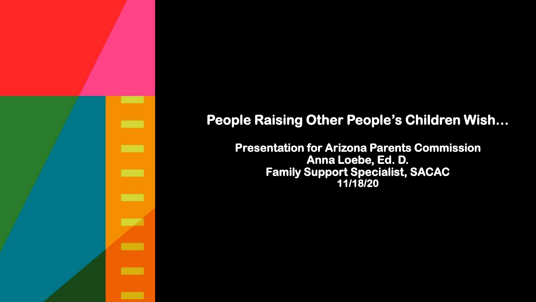

#### **People Raising Other People's Children Wish…**

**Presentation for Arizona Parents Commission Anna Loebe, Ed. D. Family Support Specialist, SACAC 11/18/20**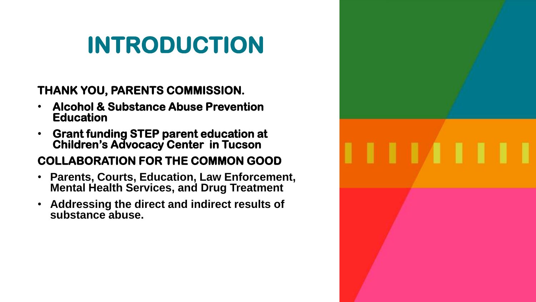### **INTRODUCTION**

#### **THANK YOU, PARENTS COMMISSION.**

- **Alcohol & Substance Abuse Prevention Education**
- **Grant funding STEP parent education at Children's Advocacy Center in Tucson**

#### **COLLABORATION FOR THE COMMON GOOD**

- **Parents, Courts, Education, Law Enforcement, Mental Health Services, and Drug Treatment**
- **Addressing the direct and indirect results of substance abuse.**

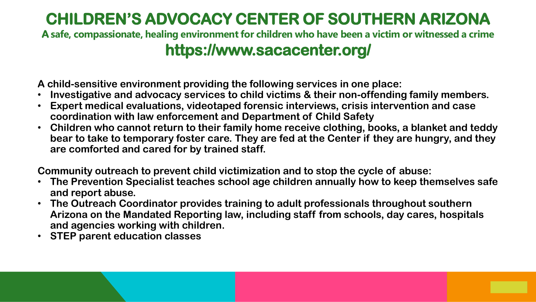#### **CHILDREN'S ADVOCACY CENTER OF SOUTHERN ARIZONA**

**A safe, compassionate, healing environment for children who have been a victim or witnessed a crime**

#### **https://www.sacacenter.org/**

**A child-sensitive environment providing the following services in one place:**

- **Investigative and advocacy services to child victims & their non-offending family members.**
- **Expert medical evaluations, videotaped forensic interviews, crisis intervention and case coordination with law enforcement and Department of Child Safety**
- **Children who cannot return to their family home receive clothing, books, a blanket and teddy bear to take to temporary foster care. They are fed at the Center if they are hungry, and they are comforted and cared for by trained staff.**

**Community outreach to prevent child victimization and to stop the cycle of abuse:** 

- **The Prevention Specialist teaches school age children annually how to keep themselves safe and report abuse.**
- **The Outreach Coordinator provides training to adult professionals throughout southern Arizona on the Mandated Reporting law, including staff from schools, day cares, hospitals and agencies working with children.**
- **STEP parent education classes**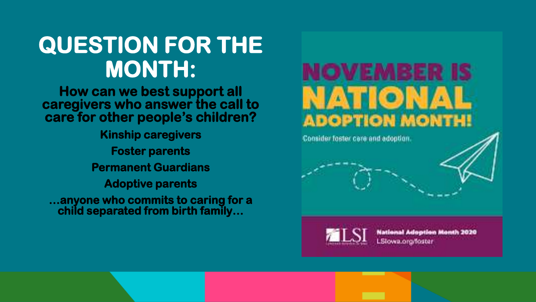### **QUESTION FOR THE MONTH:**

**How can we best support all caregivers who answer the call to care for other people's children?**

**Kinship caregivers Foster parents Permanent Guardians Adoptive parents …anyone who commits to caring for a** 

**child separated from birth family…**



Consider foster cere and adoption.



National Adoption Month 2020 LSlowa.org/foster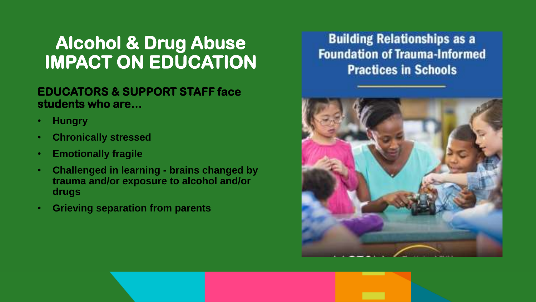### **Alcohol & Drug Abuse IMPACT ON EDUCATION**

#### **EDUCATORS & SUPPORT STAFF face students who are…**

- **Hungry**
- **Chronically stressed**
- **Emotionally fragile**
- **Challenged in learning - brains changed by trauma and/or exposure to alcohol and/or drugs**
- **Grieving separation from parents**

#### **Building Relationships as a Foundation of Trauma-Informed Practices in Schools**

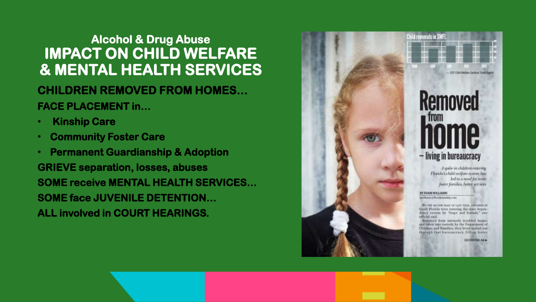#### **CHILDREN REMOVED FROM HOMES… FACE PLACEMENT in… Alcohol & Drug Abuse IMPACT ON CHILD WELFARE & MENTAL HEALTH SERVICES**

- **Kinship Care**
- **Community Foster Care**
- **Permanent Guardianship & Adoption GRIEVE separation, losses, abuses SOME receive MENTAL HEALTH SERVICES… SOME face JUVENILE DETENTION… ALL involved in COURT HEARINGS.**



**Removed** - living in bureaucracy

OCF Child Wallare Services Transfilla

A spike in children entering Florida's child welfare system has led to a need for more foster families, better services

**BY EVAN WILLIAMS** 

es/diams@floridaweekly.com

BY THE HIGHIN HALF OF LAST VEAR, GERDRIDE IN South Florida were entering the state dependency system by "leaps and bounds," one Aies Isitilo

Removed from intensely troubled home and taken into custody by the Department of Children and Families, they were spread out theough that bureaucracy, filling foster

**SEE FOSTER, AB &**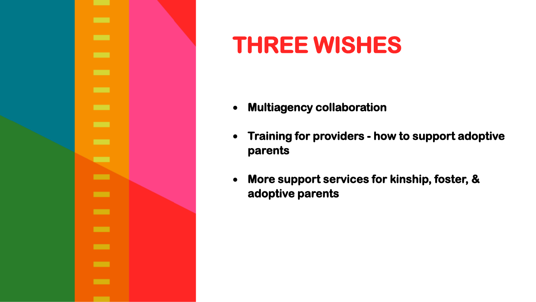

### **THREE WISHES**

- **Multiagency collaboration**
- **Training for providers - how to support adoptive parents**
- **More support services for kinship, foster, & adoptive parents**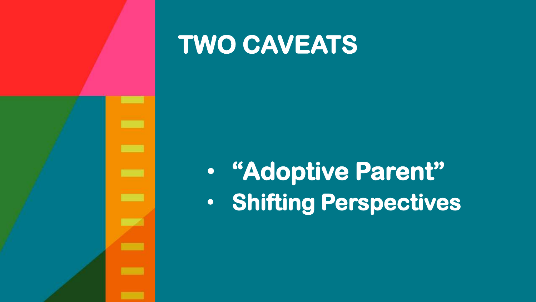

### **TWO CAVEATS**

### • **"Adoptive Parent"** • **Shifting Perspectives**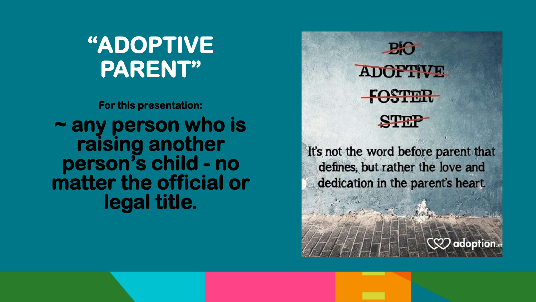### **"ADOPTIVE PARENT"**

**For this presentation: ~ any person who is raising another person's child - no matter the official or legal title.** 



It's not the word before parent that defines, but rather the love and dedication in the parent's heart.

 $\langle\!\langle \mathbb{Q}\mathbb{Z}\rangle\!\rangle$  adoption.  $\alpha$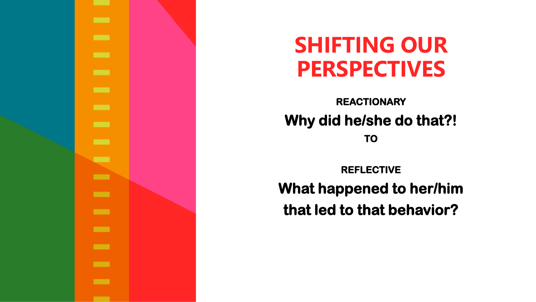

### **SHIFTING OUR PERSPECTIVES**

**REACTIONARY Why did he/she do that?!**

**TO**

**REFLECTIVE What happened to her/him that led to that behavior?**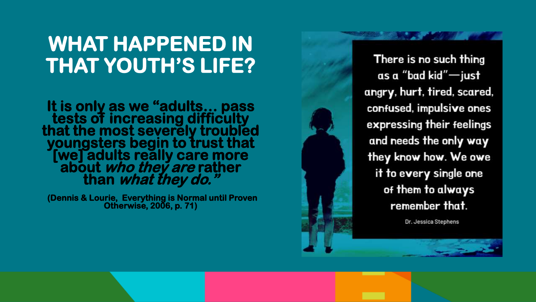### **WHAT HAPPENED IN THAT YOUTH'S LIFE?**

**It is only as we "adults… pass tests of increasing difficulty that the most severely troubled youngsters begin to trust that [we] adults really care more about who they are rather than what they do."**

**(Dennis & Lourie, Everything is Normal until Proven Otherwise, 2006, p. 71)**

There is no such thing as a "bad kid"-just angry, hurt, tired, scared, confused, impulsive ones expressing their feelings and needs the only way they know how. We owe it to every single one of them to always remember that.

Dr. Jessica Stephens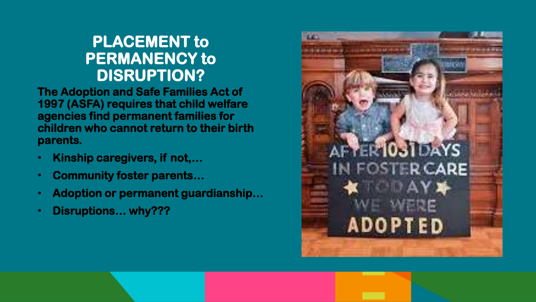#### **PLACEMENT to PERMANENCY to DISRUPTION?**

**The Adoption and Safe Families Act of 1997 (ASFA) requires that child welfare agencies find permanent families for children who cannot return to their birth parents.** 

- **Kinship caregivers, if not,…**
- **Community foster parents…**
- **Adoption or permanent guardianship…**
- **Disruptions… why???**

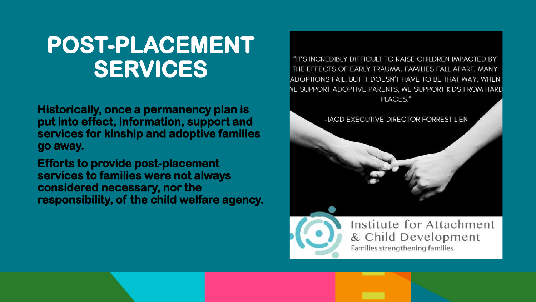### **POST-PLACEMENT SERVICES**

**Historically, once a permanency plan is put into effect, information, support and services for kinship and adoptive families go away.** 

**Efforts to provide post-placement services to families were not always considered necessary, nor the responsibility, of the child welfare agency.** 

"IT'S INCREDIBLY DIFFICULT TO RAISE CHILDREN IMPACTED BY THE EFFECTS OF EARLY TRAUMA. FAMILIES FALL APART. MANY ADOPTIONS FAIL. BUT IT DOESN'T HAVE TO BE THAT WAY. WHEN **VE SUPPORT ADOPTIVE PARENTS, WE SUPPORT KIDS FROM HARD** PLACES."

-IACD EXECUTIVE DIRECTOR FORREST LIEN



Institute for Attachment & Child Development Families strengthening families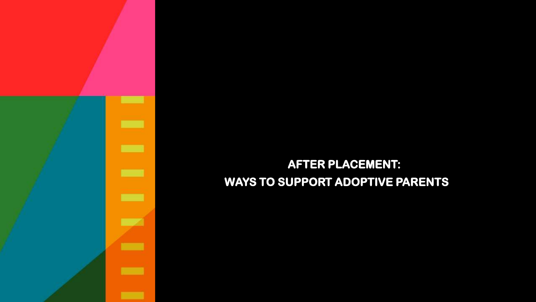

#### **AFTER PLACEMENT: WAYS TO SUPPORT ADOPTIVE PARENTS**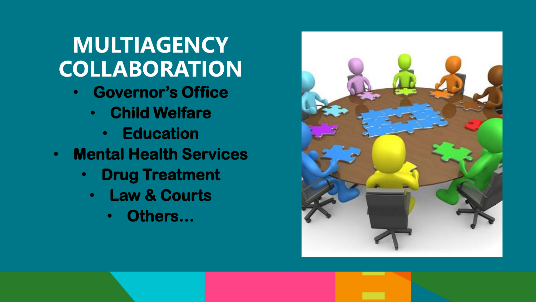### **MULTIAGENCY COLLABORATION**

- **Governor's Office**
	- **Child Welfare**
		- **Education**
- **Mental Health Services** 
	- **Drug Treatment**
		- **Law & Courts**
			- **Others…**

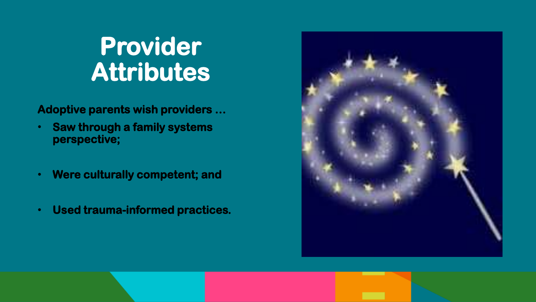### **Provider Attributes**

**Adoptive parents wish providers …**

- **Saw through a family systems perspective;**
- **Were culturally competent; and**
- **Used trauma-informed practices.**

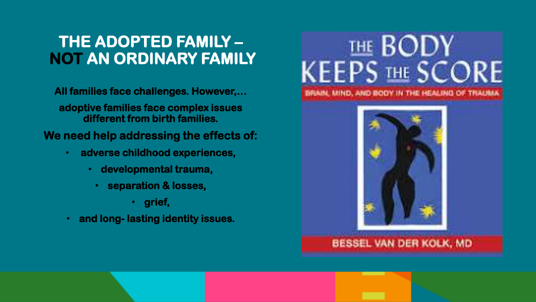#### **THE ADOPTED FAMILY – NOT AN ORDINARY FAMILY**

**All families face challenges. However,…**

**adoptive families face complex issues different from birth families.** 

**We need help addressing the effects of:**

- **adverse childhood experiences,**
	- **developmental trauma,**
	- **separation & losses,** 
		- **grief,**
- **and long- lasting identity issues.**





#### BESSEL VAN DER KOLK, MD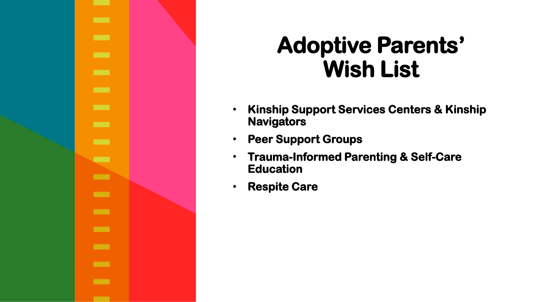

### **Adoptive Parents' Wish List**

- **Kinship Support Services Centers & Kinship Navigators**
- **Peer Support Groups**
- **Trauma-Informed Parenting & Self-Care Education**
- **Respite Care**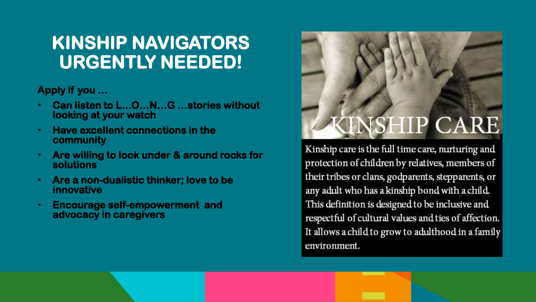#### **KINSHIP NAVIGATORS URGENTLY NEEDED!**

**Apply if you …**

- **Can listen to L...O…N…G …stories without looking at your watch**
- **Have excellent connections in the community**
- **Are willing to look under & around rocks for solutions**
- **Are a non-dualistic thinker; love to be innovative**
- **Encourage self-empowerment and advocacy in caregivers**

## **VSHIP CARE**

Kinship care is the full time care, nurturing and protection of children by relatives, members of their tribes or clans, godparents, stepparents, or any adult who has a kinship bond with a child. This definition is designed to be inclusive and respectful of cultural values and ties of affection. It allows a child to grow to adulthood in a family environment.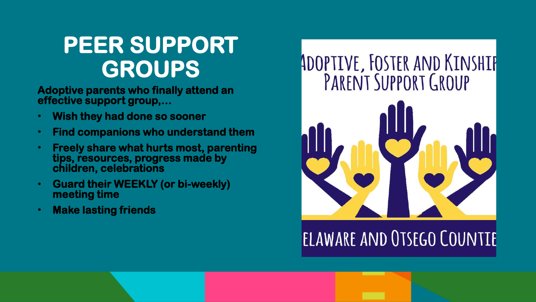### **PEER SUPPORT GROUPS**

**Adoptive parents who finally attend an effective support group,…**

- **Wish they had done so sooner**
- **Find companions who understand them**
- **Freely share what hurts most, parenting tips, resources, progress made by children, celebrations**
- **Guard their WEEKLY (or bi-weekly) meeting time**
- **Make lasting friends**

# ADOPTIVE, FOSTER AND KINSHIP<br>PARENT SUPPORT GROUP



### ELAWARE AND OTSEGO COUNTIE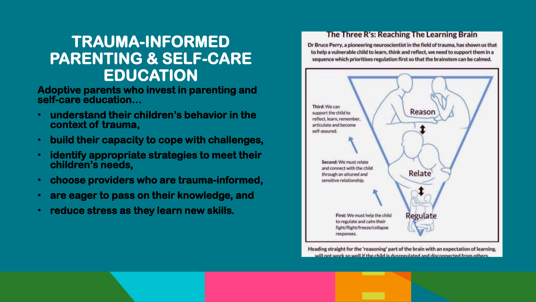#### **TRAUMA-INFORMED PARENTING & SELF-CARE EDUCATION**

**Adoptive parents who invest in parenting and self-care education…**

- **understand their children's behavior in the context of trauma,**
- **build their capacity to cope with challenges,**
- **identify appropriate strategies to meet their children's needs,**
- **choose providers who are trauma-informed,**
- **are eager to pass on their knowledge, and**
- **reduce stress as they learn new skills.**

#### The Three R's: Reaching The Learning Brain

Dr Bruce Perry, a pioneering neuroscientist in the field of trauma, has shown us that to help a vulnerable child to learn, think and reflect, we need to support them in a sequence which prioritises regulation first so that the brainstem can be calmed.



Heading straight for the 'reasoning' part of the brain with an expectation of learning. will not work so well if the child is dysregulated and disconnected from others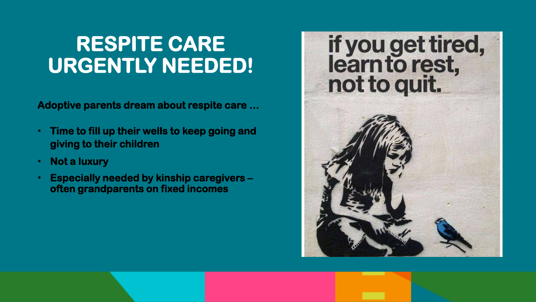### **RESPITE CARE URGENTLY NEEDED!**

**Adoptive parents dream about respite care …** 

- **Time to fill up their wells to keep going and giving to their children**
- **Not a luxury**
- **Especially needed by kinship caregivers – often grandparents on fixed incomes**

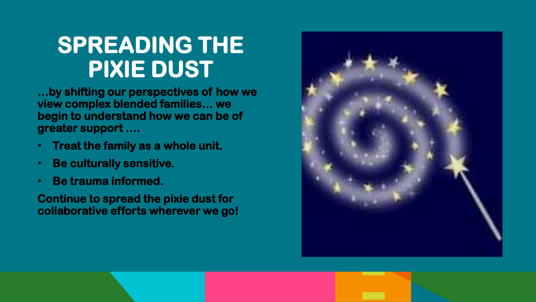### **SPREADING THE PIXIE DUST**

**…by shifting our perspectives of how we view complex blended families… we begin to understand how we can be of greater support ….**

- **Treat the family as a whole unit.**
- **Be culturally sensitive.**
- **Be trauma informed.**

**Continue to spread the pixie dust for collaborative efforts wherever we go!**

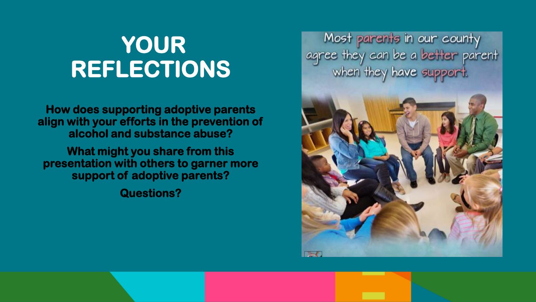Most parents in our county<br>agree they can be a better parent<br>when they have support.



### **YOUR REFLECTIONS**

**How does supporting adoptive parents align with your efforts in the prevention of alcohol and substance abuse?**

**What might you share from this presentation with others to garner more support of adoptive parents?**

**Questions?**